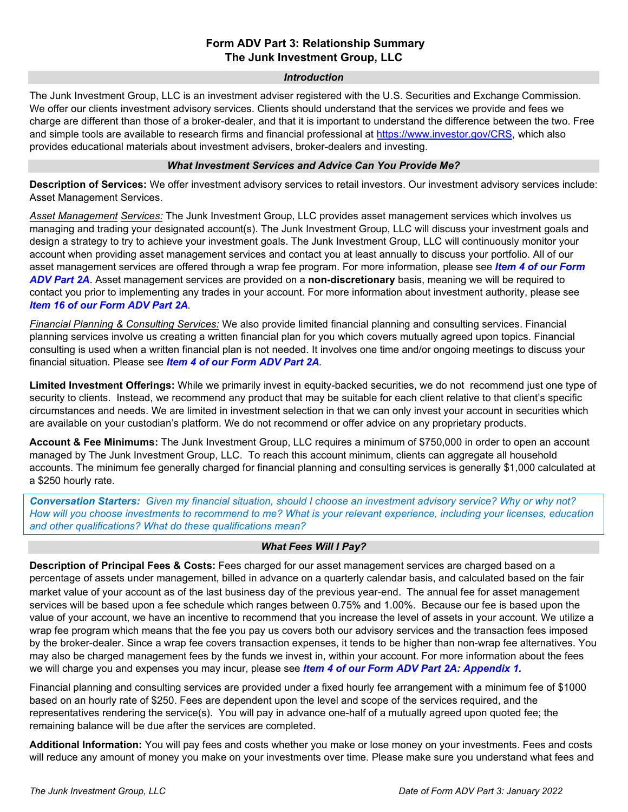# **Form ADV Part 3: Relationship Summary The Junk Investment Group, LLC**

#### *Introduction*

The Junk Investment Group, LLC is an investment adviser registered with the U.S. Securities and Exchange Commission. We offer our clients investment advisory services. Clients should understand that the services we provide and fees we charge are different than those of a broker-dealer, and that it is important to understand the difference between the two. Free and simple tools are available to research firms and financial professional at [https://www.investor.gov/CRS,](https://www.investor.gov/CRS) which also provides educational materials about investment advisers, broker-dealers and investing.

# *What Investment Services and Advice Can You Provide Me?*

**Description of Services:** We offer investment advisory services to retail investors. Our investment advisory services include: Asset Management Services.

*Asset Management Services:* The Junk Investment Group, LLC provides asset management services which involves us managing and trading your designated account(s). The Junk Investment Group, LLC will discuss your investment goals and design a strategy to try to achieve your investment goals. The Junk Investment Group, LLC will continuously monitor your account when providing asset management services and contact you at least annually to discuss your portfolio. All of our asset management services are offered through a wrap fee program. For more information, please see *[Item 4](https://www.junkinv.com/content/wp-content/uploads/2022/02/The-Junk-Investment-Group-LLC-ADV-Part-2A-Annual-Amendment-01-24-2022.pdf#page=4) of our Form [ADV Part 2A](https://www.junkinv.com/content/wp-content/uploads/2022/02/The-Junk-Investment-Group-LLC-ADV-Part-2A-Annual-Amendment-01-24-2022.pdf#page=4)*. Asset management services are provided on a **non-discretionary** basis, meaning we will be required to contact you prior to implementing any trades in your account. For more information about investment authority, please see *Item 16 of our Form [ADV Part 2A](https://www.junkinv.com/content/wp-content/uploads/2022/02/The-Junk-Investment-Group-LLC-ADV-Part-2A-Annual-Amendment-01-24-2022.pdf#page=17).* 

*Financial Planning & Consulting Services:* We also provide limited financial planning and consulting services. Financial planning services involve us creating a written financial plan for you which covers mutually agreed upon topics. Financial consulting is used when a written financial plan is not needed. It involves one time and/or ongoing meetings to discuss your financial situation. Please see *Item 4 of our [Form ADV Part 2A](https://www.junkinv.com/content/wp-content/uploads/2022/02/The-Junk-Investment-Group-LLC-ADV-Part-2A-Annual-Amendment-01-24-2022.pdf#page=4).*

**Limited Investment Offerings:** While we primarily invest in equity-backed securities, we do not recommend just one type of security to clients. Instead, we recommend any product that may be suitable for each client relative to that client's specific circumstances and needs. We are limited in investment selection in that we can only invest your account in securities which are available on your custodian's platform. We do not recommend or offer advice on any proprietary products.

**Account & Fee Minimums:** The Junk Investment Group, LLC requires a minimum of \$750,000 in order to open an account managed by The Junk Investment Group, LLC. To reach this account minimum, clients can aggregate all household accounts. The minimum fee generally charged for financial planning and consulting services is generally \$1,000 calculated at a \$250 hourly rate.

*Conversation Starters: Given my financial situation, should I choose an investment advisory service? Why or why not? How will you choose investments to recommend to me? What is your relevant experience, including your licenses, education and other qualifications? What do these qualifications mean?*

# *What Fees Will I Pay?*

**Description of Principal Fees & Costs:** Fees charged for our asset management services are charged based on a percentage of assets under management, billed in advance on a quarterly calendar basis, and calculated based on the fair market value of your account as of the last business day of the previous year-end. The annual fee for asset management services will be based upon a fee schedule which ranges between 0.75% and 1.00%. Because our fee is based upon the value of your account, we have an incentive to recommend that you increase the level of assets in your account. We utilize a wrap fee program which means that the fee you pay us covers both our advisory services and the transaction fees imposed by the broker-dealer. Since a wrap fee covers transaction expenses, it tends to be higher than non-wrap fee alternatives. You may also be charged management fees by the funds we invest in, within your account. For more information about the fees we will charge you and expenses you may incur, please see *Item 4 of our Form ADV [Part 2A: Appendix 1.](https://www.junkinv.com/content/wp-content/uploads/2022/02/The-Junk-Investment-Group-LLC-ADV-Part-2A-Appendix-1-Annual-Amendment-01-24-2022.pdf#page=4)*

Financial planning and consulting services are provided under a fixed hourly fee arrangement with a minimum fee of \$1000 based on an hourly rate of \$250. Fees are dependent upon the level and scope of the services required, and the representatives rendering the service(s). You will pay in advance one-half of a mutually agreed upon quoted fee; the remaining balance will be due after the services are completed.

**Additional Information:** You will pay fees and costs whether you make or lose money on your investments. Fees and costs will reduce any amount of money you make on your investments over time. Please make sure you understand what fees and